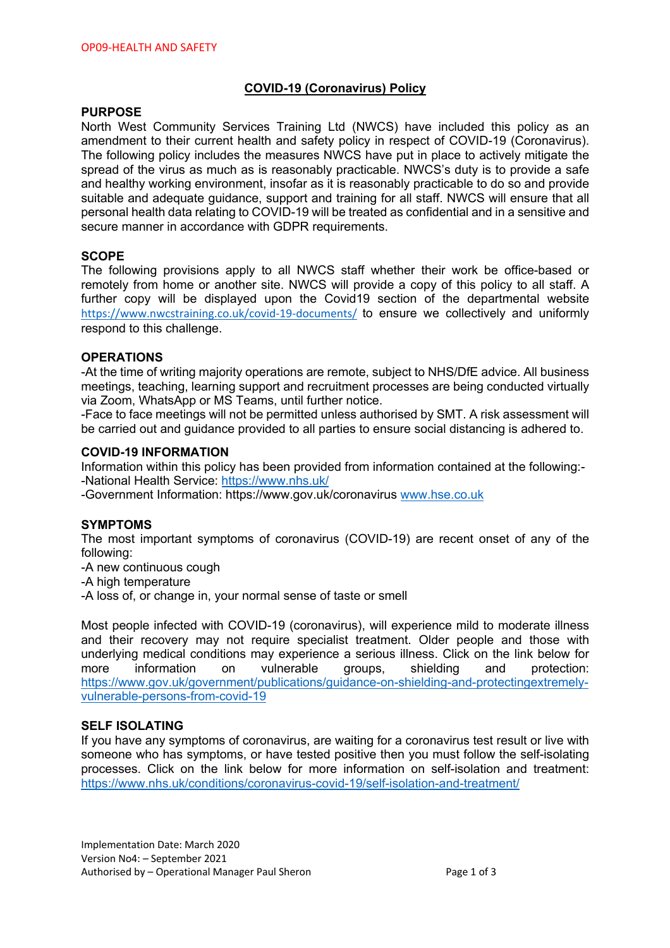## **COVID-19 (Coronavirus) Policy**

## **PURPOSE**

North West Community Services Training Ltd (NWCS) have included this policy as an amendment to their current health and safety policy in respect of COVID-19 (Coronavirus). The following policy includes the measures NWCS have put in place to actively mitigate the spread of the virus as much as is reasonably practicable. NWCS's duty is to provide a safe and healthy working environment, insofar as it is reasonably practicable to do so and provide suitable and adequate guidance, support and training for all staff. NWCS will ensure that all personal health data relating to COVID-19 will be treated as confidential and in a sensitive and secure manner in accordance with GDPR requirements.

## **SCOPE**

The following provisions apply to all NWCS staff whether their work be office-based or remotely from home or another site. NWCS will provide a copy of this policy to all staff. A further copy will be displayed upon the Covid19 section of the departmental website https://www.nwcstraining.co.uk/covid-19-documents/ to ensure we collectively and uniformly respond to this challenge.

### **OPERATIONS**

-At the time of writing majority operations are remote, subject to NHS/DfE advice. All business meetings, teaching, learning support and recruitment processes are being conducted virtually via Zoom, WhatsApp or MS Teams, until further notice.

-Face to face meetings will not be permitted unless authorised by SMT. A risk assessment will be carried out and guidance provided to all parties to ensure social distancing is adhered to.

### **COVID-19 INFORMATION**

Information within this policy has been provided from information contained at the following:- -National Health Service: https://www.nhs.uk/

-Government Information: https://www.gov.uk/coronavirus www.hse.co.uk

#### **SYMPTOMS**

The most important symptoms of coronavirus (COVID-19) are recent onset of any of the following:

-A new continuous cough

-A high temperature

-A loss of, or change in, your normal sense of taste or smell

Most people infected with COVID-19 (coronavirus), will experience mild to moderate illness and their recovery may not require specialist treatment. Older people and those with underlying medical conditions may experience a serious illness. Click on the link below for more information on vulnerable groups, shielding and protection: https://www.gov.uk/government/publications/guidance-on-shielding-and-protectingextremelyvulnerable-persons-from-covid-19

#### **SELF ISOLATING**

If you have any symptoms of coronavirus, are waiting for a coronavirus test result or live with someone who has symptoms, or have tested positive then you must follow the self-isolating processes. Click on the link below for more information on self-isolation and treatment: https://www.nhs.uk/conditions/coronavirus-covid-19/self-isolation-and-treatment/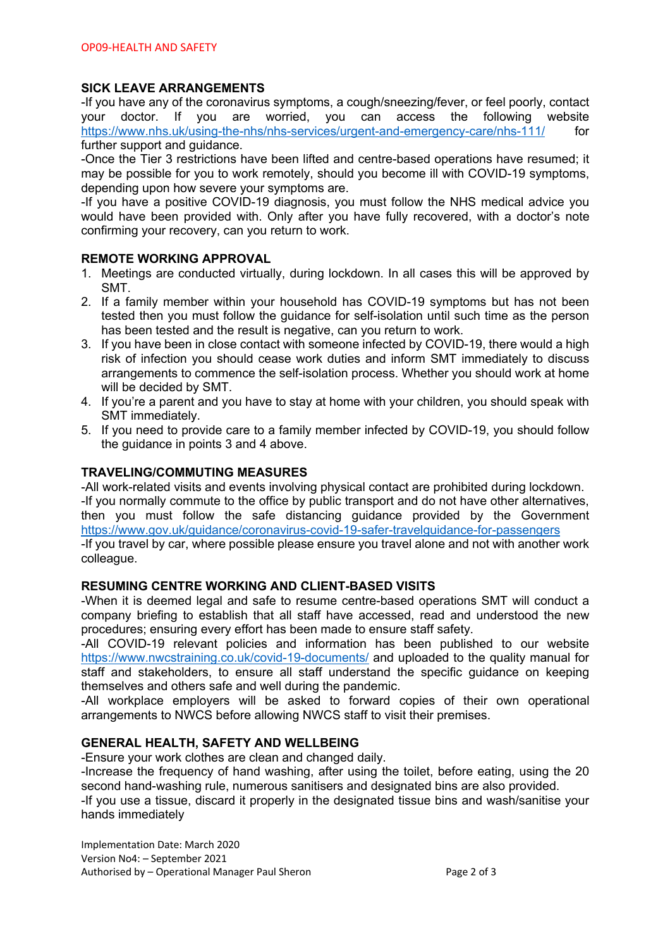# **SICK LEAVE ARRANGEMENTS**

-If you have any of the coronavirus symptoms, a cough/sneezing/fever, or feel poorly, contact your doctor. If you are worried, you can access the following website https://www.nhs.uk/using-the-nhs/nhs-services/urgent-and-emergency-care/nhs-111/ for further support and quidance.

-Once the Tier 3 restrictions have been lifted and centre-based operations have resumed; it may be possible for you to work remotely, should you become ill with COVID-19 symptoms, depending upon how severe your symptoms are.

-If you have a positive COVID-19 diagnosis, you must follow the NHS medical advice you would have been provided with. Only after you have fully recovered, with a doctor's note confirming your recovery, can you return to work.

### **REMOTE WORKING APPROVAL**

- 1. Meetings are conducted virtually, during lockdown. In all cases this will be approved by SMT.
- 2. If a family member within your household has COVID-19 symptoms but has not been tested then you must follow the guidance for self-isolation until such time as the person has been tested and the result is negative, can you return to work.
- 3. If you have been in close contact with someone infected by COVID-19, there would a high risk of infection you should cease work duties and inform SMT immediately to discuss arrangements to commence the self-isolation process. Whether you should work at home will be decided by SMT.
- 4. If you're a parent and you have to stay at home with your children, you should speak with SMT immediately.
- 5. If you need to provide care to a family member infected by COVID-19, you should follow the guidance in points 3 and 4 above.

## **TRAVELING/COMMUTING MEASURES**

-All work-related visits and events involving physical contact are prohibited during lockdown. -If you normally commute to the office by public transport and do not have other alternatives, then you must follow the safe distancing guidance provided by the Government https://www.gov.uk/guidance/coronavirus-covid-19-safer-travelguidance-for-passengers -If you travel by car, where possible please ensure you travel alone and not with another work colleague.

## **RESUMING CENTRE WORKING AND CLIENT-BASED VISITS**

-When it is deemed legal and safe to resume centre-based operations SMT will conduct a company briefing to establish that all staff have accessed, read and understood the new procedures; ensuring every effort has been made to ensure staff safety.

-All COVID-19 relevant policies and information has been published to our website https://www.nwcstraining.co.uk/covid-19-documents/ and uploaded to the quality manual for staff and stakeholders, to ensure all staff understand the specific quidance on keeping themselves and others safe and well during the pandemic.

-All workplace employers will be asked to forward copies of their own operational arrangements to NWCS before allowing NWCS staff to visit their premises.

## **GENERAL HEALTH, SAFETY AND WELLBEING**

-Ensure your work clothes are clean and changed daily.

-Increase the frequency of hand washing, after using the toilet, before eating, using the 20 second hand-washing rule, numerous sanitisers and designated bins are also provided. -If you use a tissue, discard it properly in the designated tissue bins and wash/sanitise your hands immediately

Implementation Date: March 2020 Version No4: – September 2021 Authorised by – Operational Manager Paul Sheron Page 2 of 3